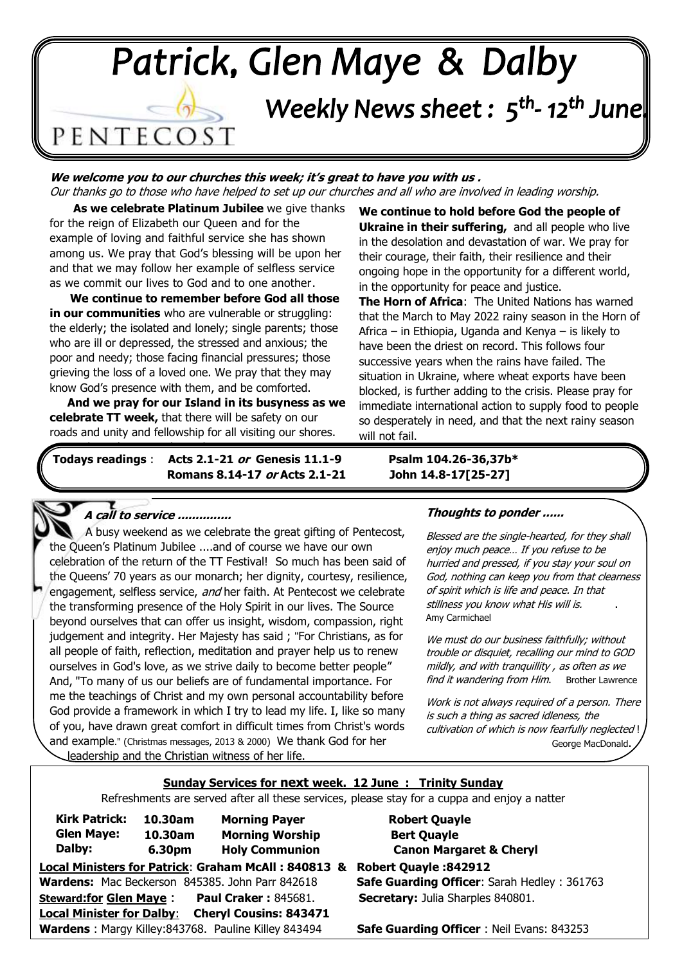# Patrick, Glen Maye & Dalby Weekly News sheet: 5<sup>th</sup>-12<sup>th</sup> June. PENTECOST

٦

 Our thanks go to those who have helped to set up our churches and all who are involved in leading worship. **We welcome you to our churches this week; it's great to have you with us .** 

**. As we celebrate Platinum Jubilee** we give thanks for the reign of Elizabeth our Queen and for the example of loving and faithful service she has shown among us. We pray that God's blessing will be upon her and that we may follow her example of selfless service as we commit our lives to God and to one another.

**. We continue to remember before God all those in our communities** who are vulnerable or struggling: the elderly; the isolated and lonely; single parents; those who are ill or depressed, the stressed and anxious; the poor and needy; those facing financial pressures; those grieving the loss of a loved one. We pray that they may know God's presence with them, and be comforted.

. **And we pray for our Island in its busyness as we celebrate TT week,** that there will be safety on our roads and unity and fellowship for all visiting our shores.

**We continue to hold before God the people of Ukraine in their suffering,** and all people who live in the desolation and devastation of war. We pray for their courage, their faith, their resilience and their ongoing hope in the opportunity for a different world, in the opportunity for peace and justice.

**The Horn of Africa**: The United Nations has warned that the March to May 2022 rainy season in the Horn of Africa – in Ethiopia, Uganda and Kenya – is likely to have been the driest on record. This follows four successive years when the rains have failed. The situation in Ukraine, where wheat exports have been blocked, is further adding to the crisis. Please pray for immediate international action to supply food to people so desperately in need, and that the next rainy season will not fail.

**Todays readings** : **Acts 2.1-21 or Genesis 11.1-9 Psalm 104.26-36,37b\* Romans 8.14-17 or Acts 2.1-21 John 14.8-17[25-27]** as we share this Festival together.

#### **A call to service ...............**

l

ì the transforming presence of the Holy Spirit in our lives. The Source  all people of faith, reflection, meditation and prayer help us to renew  ourselves in God's love, as we strive daily to become better people"  And, "To many of us our beliefs are of fundamental importance. For  of you, have drawn great comfort in difficult times from Christ's words  and example." (Christmas messages, 2013 & 2000) We thank God for her . A busy weekend as we celebrate the great gifting of Pentecost, the Queen's Platinum Jubilee ....and of course we have our own celebration of the return of the TT Festival! So much has been said of the Queens' 70 years as our monarch; her dignity, courtesy, resilience, engagement, selfless service, and her faith. At Pentecost we celebrate beyond ourselves that can offer us insight, wisdom, compassion, right judgement and integrity. Her Majesty has said ; "For Christians, as for me the teachings of Christ and my own personal accountability before God provide a framework in which I try to lead my life. I, like so many . leadership and the Christian witness of her life.

#### **Thoughts to ponder ......**

Blessed are the single-hearted, for they shall enjoy much peace… If you refuse to be hurried and pressed, if you stay your soul on God, nothing can keep you from that clearness of spirit which is life and peace. In that stillness you know what His will is. Amy Carmichael

We must do our business faithfully; without trouble or disquiet, recalling our mind to GOD mildly, and with tranquillity , as often as we find it wandering from Him. Brother Lawrence

Work is not always required of a person. There is such a thing as sacred idleness, the cultivation of which is now fearfully neglected ! George MacDonald.

### **Sunday Services for next week. 12 June : Trinity Sunday**

Refreshments are served after all these services, please stay for a cuppa and enjoy a natter

| <b>Kirk Patrick:</b>                                         | 10.30am | <b>Morning Payer</b>                                |
|--------------------------------------------------------------|---------|-----------------------------------------------------|
| <b>Glen Maye:</b>                                            | 10.30am | <b>Morning Worship</b>                              |
| Dalby:                                                       | 6.30pm  | <b>Holy Communion</b>                               |
| <b>Local Ministers for Patrick: Graham McAll: 840813</b>     |         |                                                     |
|                                                              |         | Wardens: Mac Beckerson 845385. John Parr 842618     |
| <b>Steward:for Glen Maye:</b><br><b>Paul Craker: 845681.</b> |         |                                                     |
| <b>Local Minister for Dalby:</b>                             |         | <b>Cheryl Cousins: 843471</b>                       |
|                                                              |         | Wardens: Margy Killey:843768. Pauline Killey 843494 |

**Local Ministers for Patrick**: **Graham McAll : 840813 & Robert Quayle :842912 Safe Guarding Officer: Sarah Hedley : 361763 Secretary:** Julia Sharples 840801. **Robert Quayle Bert Ouavle Canon Margaret & Cheryl** 

**Safe Guarding Officer** : Neil Evans: 843253